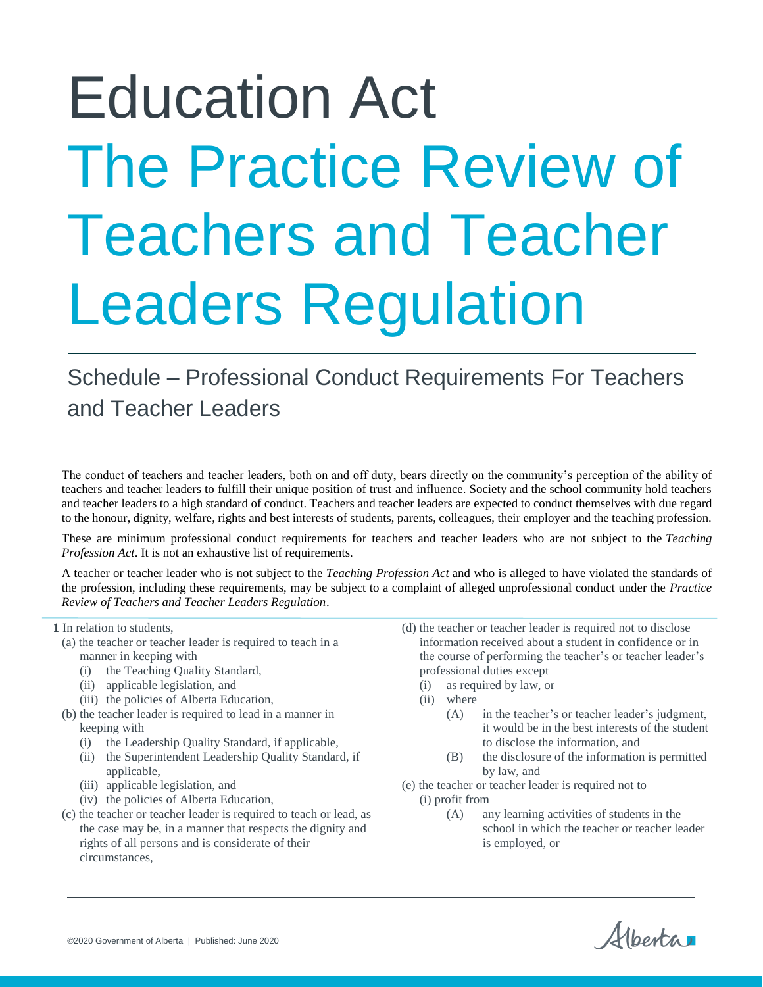# Education Act The Practice Review of Teachers and Teacher Leaders Regulation

# Schedule – Professional Conduct Requirements For Teachers and Teacher Leaders

The conduct of teachers and teacher leaders, both on and off duty, bears directly on the community's perception of the ability of teachers and teacher leaders to fulfill their unique position of trust and influence. Society and the school community hold teachers and teacher leaders to a high standard of conduct. Teachers and teacher leaders are expected to conduct themselves with due regard to the honour, dignity, welfare, rights and best interests of students, parents, colleagues, their employer and the teaching profession.

These are minimum professional conduct requirements for teachers and teacher leaders who are not subject to the *Teaching Profession Act*. It is not an exhaustive list of requirements.

A teacher or teacher leader who is not subject to the *Teaching Profession Act* and who is alleged to have violated the standards of the profession, including these requirements, may be subject to a complaint of alleged unprofessional conduct under the *Practice Review of Teachers and Teacher Leaders Regulation*.

**1** In relation to students,

- (a) the teacher or teacher leader is required to teach in a manner in keeping with
	- (i) the Teaching Quality Standard,
	- (ii) applicable legislation, and
	- (iii) the policies of Alberta Education,
- (b) the teacher leader is required to lead in a manner in keeping with
	- (i) the Leadership Quality Standard, if applicable,
	- (ii) the Superintendent Leadership Quality Standard, if applicable,
	- (iii) applicable legislation, and
	- (iv) the policies of Alberta Education,
- (c) the teacher or teacher leader is required to teach or lead, as the case may be, in a manner that respects the dignity and rights of all persons and is considerate of their circumstances,
- (d) the teacher or teacher leader is required not to disclose information received about a student in confidence or in the course of performing the teacher's or teacher leader's professional duties except
	- (i) as required by law, or
	- (ii) where
		- (A) in the teacher's or teacher leader's judgment, it would be in the best interests of the student to disclose the information, and
		- (B) the disclosure of the information is permitted by law, and
- (e) the teacher or teacher leader is required not to
	- (i) profit from
		- (A) any learning activities of students in the school in which the teacher or teacher leader is employed, or

Alberta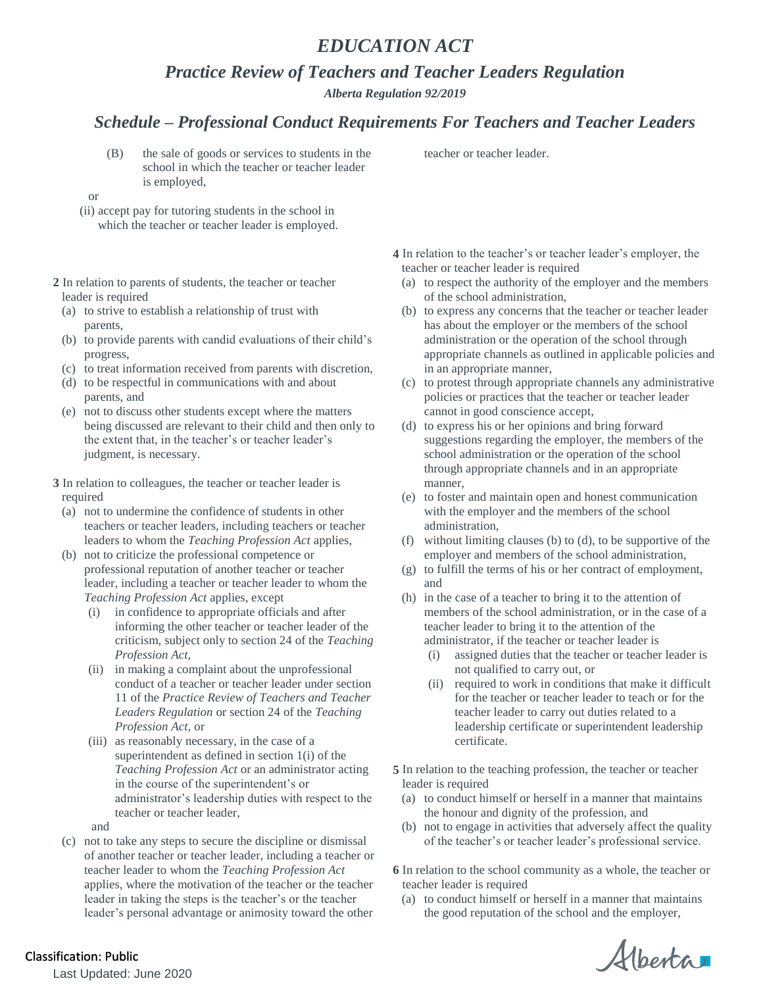### *EDUCATION ACT*

*Practice Review of Teachers and Teacher Leaders Regulation*

*Alberta Regulation 92/2019*

#### *Schedule – Professional Conduct Requirements For Teachers and Teacher Leaders*

- (B) the sale of goods or services to students in the school in which the teacher or teacher leader is employed,
- or
- (ii) accept pay for tutoring students in the school in which the teacher or teacher leader is employed.
- **2** In relation to parents of students, the teacher or teacher leader is required
	- (a) to strive to establish a relationship of trust with parents,
	- (b) to provide parents with candid evaluations of their child's progress,
	- (c) to treat information received from parents with discretion,
	- (d) to be respectful in communications with and about parents, and
	- (e) not to discuss other students except where the matters being discussed are relevant to their child and then only to the extent that, in the teacher's or teacher leader's judgment, is necessary.
- **3** In relation to colleagues, the teacher or teacher leader is required
	- (a) not to undermine the confidence of students in other teachers or teacher leaders, including teachers or teacher leaders to whom the *Teaching Profession Act* applies,
	- (b) not to criticize the professional competence or professional reputation of another teacher or teacher leader, including a teacher or teacher leader to whom the *Teaching Profession Act* applies, except
		- (i) in confidence to appropriate officials and after informing the other teacher or teacher leader of the criticism, subject only to section 24 of the *Teaching Profession Act*,
		- (ii) in making a complaint about the unprofessional conduct of a teacher or teacher leader under section 11 of the *Practice Review of Teachers and Teacher Leaders Regulation* or section 24 of the *Teaching Profession Act*, or
		- (iii) as reasonably necessary, in the case of a superintendent as defined in section 1(i) of the *Teaching Profession Act* or an administrator acting in the course of the superintendent's or administrator's leadership duties with respect to the teacher or teacher leader,

and

(c) not to take any steps to secure the discipline or dismissal of another teacher or teacher leader, including a teacher or teacher leader to whom the *Teaching Profession Act* applies, where the motivation of the teacher or the teacher leader in taking the steps is the teacher's or the teacher leader's personal advantage or animosity toward the other

teacher or teacher leader.

- **4** In relation to the teacher's or teacher leader's employer, the teacher or teacher leader is required
	- (a) to respect the authority of the employer and the members of the school administration,
	- (b) to express any concerns that the teacher or teacher leader has about the employer or the members of the school administration or the operation of the school through appropriate channels as outlined in applicable policies and in an appropriate manner,
	- (c) to protest through appropriate channels any administrative policies or practices that the teacher or teacher leader cannot in good conscience accept,
	- (d) to express his or her opinions and bring forward suggestions regarding the employer, the members of the school administration or the operation of the school through appropriate channels and in an appropriate manner,
	- (e) to foster and maintain open and honest communication with the employer and the members of the school administration,
	- (f) without limiting clauses (b) to (d), to be supportive of the employer and members of the school administration,
	- (g) to fulfill the terms of his or her contract of employment, and
	- (h) in the case of a teacher to bring it to the attention of members of the school administration, or in the case of a teacher leader to bring it to the attention of the administrator, if the teacher or teacher leader is
		- (i) assigned duties that the teacher or teacher leader is not qualified to carry out, or
		- (ii) required to work in conditions that make it difficult for the teacher or teacher leader to teach or for the teacher leader to carry out duties related to a leadership certificate or superintendent leadership certificate.
- **5** In relation to the teaching profession, the teacher or teacher leader is required
	- (a) to conduct himself or herself in a manner that maintains the honour and dignity of the profession, and
	- (b) not to engage in activities that adversely affect the quality of the teacher's or teacher leader's professional service.
- **6** In relation to the school community as a whole, the teacher or teacher leader is required
	- (a) to conduct himself or herself in a manner that maintains the good reputation of the school and the employer,

Alberta

Last Updated: June 2020 Classification: Public